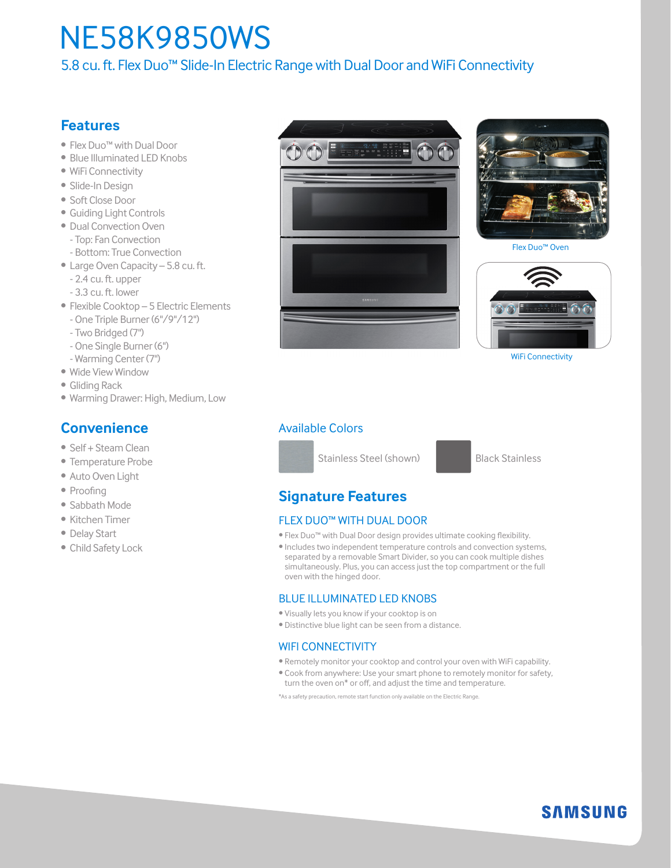# NE58K9850WS

5.8 cu. ft. Flex Duo™ Slide-In Electric Range with Dual Door and WiFi Connectivity

# **Features**

- Flex Duo™ with Dual Door
- Blue Illuminated LED Knobs
- WiFi Connectivity
- Slide-In Design
- Soft Close Door
- Guiding Light Controls
- Dual Convection Oven - Top: Fan Convection
- Bottom: True Convection
- Large Oven Capacity 5.8 cu. ft. - 2.4 cu. ft. upper
	- 3.3 cu. ft. lower
- Flexible Cooktop 5 Electric Elements - One Triple Burner (6"/9"/12")
	- Two Bridged (7")
	- One Single Burner (6")
	- Warming Center (7")
- Wide View Window
- Gliding Rack
- Warming Drawer: High, Medium, Low

## **Convenience**

- Self + Steam Clean
- Temperature Probe
- Auto Oven Light
- Proofing
- Sabbath Mode
- Kitchen Timer
- Delay Start
- Child Safety Lock





Flex Duo™ Oven



WiFi Connectivity

### Available Colors



### **Signature Features**

#### FLEX DUO™ WITH DUAL DOOR

- Flex Duo™ with Dual Door design provides ultimate cooking flexibility.
- Includes two independent temperature controls and convection systems, separated by a removable Smart Divider, so you can cook multiple dishes simultaneously. Plus, you can access just the top compartment or the full oven with the hinged door.

#### BLUE ILLUMINATED LED KNOBS

- Visually lets you know if your cooktop is on
- Distinctive blue light can be seen from a distance.

#### WIFI CONNECTIVITY

- Remotely monitor your cooktop and control your oven with WiFi capability.
- Cook from anywhere: Use your smart phone to remotely monitor for safety, turn the oven on\* or off, and adjust the time and temperature.

\*As a safety precaution, remote start function only available on the Electric Range.

**SAMSUNG**